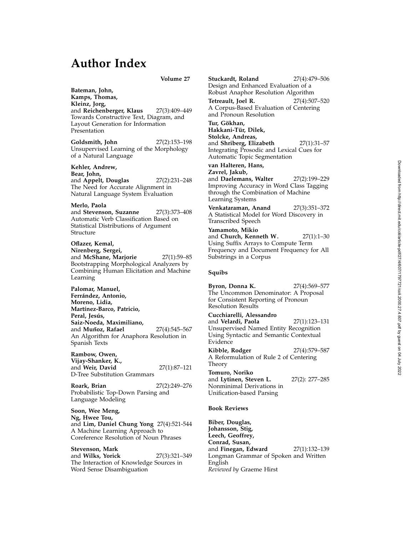# **Author Index**

**Volume 27**

**Bateman, John, Kamps, Thomas, Kleinz, Jorg,** and **Reichenberger, Klaus** 27(3):409–449 Towards Constructive Text, Diagram, and Layout Generation for Information Presentation

**Goldsmith, John** 27(2):153–198 Unsupervised Learning of the Morphology of a Natural Language

**Kehler, Andrew, Bear, John,** and **Appelt, Douglas** 27(2):231–248 The Need for Accurate Alignment in Natural Language System Evaluation

**Merlo, Paola** and **Stevenson, Suzanne** 27(3):373–408 Automatic Verb Classification Based on Statistical Distributions of Argument Structure

**Oflazer, Kemal, Nirenberg, Sergei,** and **McShane, Marjorie** 27(1):59–85 Bootstrapping Morphological Analyzers by Combining Human Elicitation and Machine Learning

**Palomar, Manuel,** Ferrández, Antonio, **Moreno, Lidia, Mart´ınez-Barco, Patricio,** Peral, Jesús, **Saiz-Noeda, Maximiliano,** and **Muñoz, Rafael** 27(4):545-567 An Algorithm for Anaphora Resolution in Spanish Texts

**Rambow, Owen, Vijay-Shanker, K.,** and **Weir, David** 27(1):87–121 D-Tree Substitution Grammars

**Roark, Brian** 27(2):249–276 Probabilistic Top-Down Parsing and Language Modeling

**Soon, Wee Meng, Ng, Hwee Tou,** and **Lim, Daniel Chung Yong** 27(4):521-544 A Machine Learning Approach to Coreference Resolution of Noun Phrases

**Stevenson, Mark** and **Wilks, Yorick** 27(3):321–349 The Interaction of Knowledge Sources in Word Sense Disambiguation

**Stuckardt, Roland** 27(4):479–506 Design and Enhanced Evaluation of a Robust Anaphor Resolution Algorithm **Tetreault, Joel R.** 27(4):507–520 A Corpus-Based Evaluation of Centering and Pronoun Resolution Tur, Gökhan, **Hakkani-T ¨ur, Dilek, Stolcke, Andreas,** and **Shriberg, Elizabeth** 27(1):31–57 Integrating Prosodic and Lexical Cues for Automatic Topic Segmentation **van Halteren, Hans, Zavrel, Jakub,**

and **Daelemans, Walter** 27(2):199–229 Improving Accuracy in Word Class Tagging through the Combination of Machine Learning Systems

**Venkataraman, Anand** 27(3):351–372 A Statistical Model for Word Discovery in Transcribed Speech

**Yamamoto, Mikio** and **Church, Kenneth W.** 27(1):1–30 Using Suffix Arrays to Compute Term Frequency and Document Frequency for All Substrings in a Corpus

## **Squibs**

**Byron, Donna K.** 27(4):569–577 The Uncommon Denominator: A Proposal for Consistent Reporting of Pronoun Resolution Results **Cucchiarelli, Alessandro** and **Velardi, Paola** 27(1):123–131 Unsupervised Named Entity Recognition Using Syntactic and Semantic Contextual Evidence **Kibble, Rodger** 27(4):579–587 A Reformulation of Rule 2 of Centering Theory **Tomuro, Noriko** and **Lytinen, Steven L.** 27(2): 277-285 Nonminimal Derivations in Unification-based Parsing **Book Reviews**

**Biber, Douglas, Johansson, Stig, Leech, Geoffrey, Conrad, Susan,** and **Finegan, Edward** 27(1):132–139 Longman Grammar of Spoken and Written English *Reviewed by* Graeme Hirst